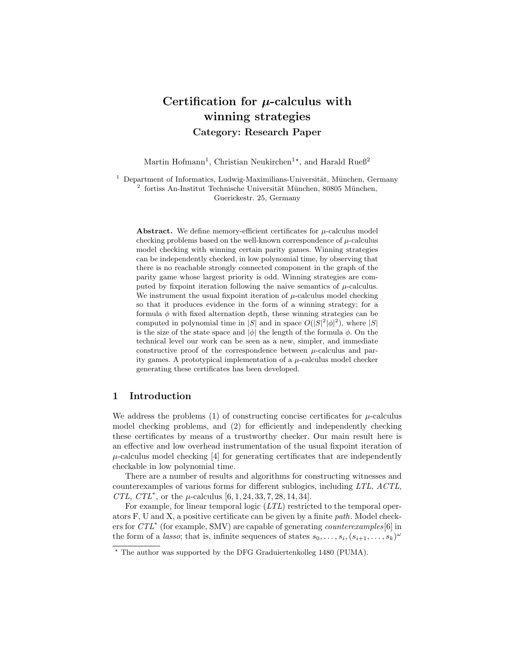# Certification for  $\mu$ -calculus with winning strategies Category: Research Paper

Martin Hofmann<sup>1</sup>, Christian Neukirchen<sup>1\*</sup>, and Harald Rueß<sup>2</sup>

 $1$  Department of Informatics, Ludwig-Maximilians-Universität, München, Germany <sup>2</sup> fortiss An-Institut Technische Universität München, 80805 München, Guerickestr. 25, Germany

Abstract. We define memory-efficient certificates for  $\mu$ -calculus model checking problems based on the well-known correspondence of  $\mu$ -calculus model checking with winning certain parity games. Winning strategies can be independently checked, in low polynomial time, by observing that there is no reachable strongly connected component in the graph of the parity game whose largest priority is odd. Winning strategies are computed by fixpoint iteration following the naive semantics of  $\mu$ -calculus. We instrument the usual fixpoint iteration of  $\mu$ -calculus model checking so that it produces evidence in the form of a winning strategy; for a formula  $\phi$  with fixed alternation depth, these winning strategies can be computed in polynomial time in |S| and in space  $O(|S|^2|\phi|^2)$ , where |S| is the size of the state space and  $|\phi|$  the length of the formula  $\phi$ . On the technical level our work can be seen as a new, simpler, and immediate constructive proof of the correspondence between  $\mu$ -calculus and parity games. A prototypical implementation of a  $\mu$ -calculus model checker generating these certificates has been developed.

# 1 Introduction

We address the problems (1) of constructing concise certificates for  $\mu$ -calculus model checking problems, and (2) for efficiently and independently checking these certificates by means of a trustworthy checker. Our main result here is an effective and low overhead instrumentation of the usual fixpoint iteration of  $\mu$ -calculus model checking [4] for generating certificates that are independently checkable in low polynomial time.

There are a number of results and algorithms for constructing witnesses and counterexamples of various forms for different sublogics, including LTL, ACTL, CTL, CTL<sup>\*</sup>, or the  $\mu$ -calculus [6, 1, 24, 33, 7, 28, 14, 34].

For example, for linear temporal logic (LTL) restricted to the temporal operators F, U and X, a positive certificate can be given by a finite path. Model checkers for  $CTL^*$  (for example, SMV) are capable of generating *counterexamples*[6] in the form of a *lasso*; that is, infinite sequences of states  $s_0, \ldots, s_i, (s_{i+1}, \ldots, s_k)^\omega$ 

 $*$  The author was supported by the DFG Graduiertenkolleg 1480 (PUMA).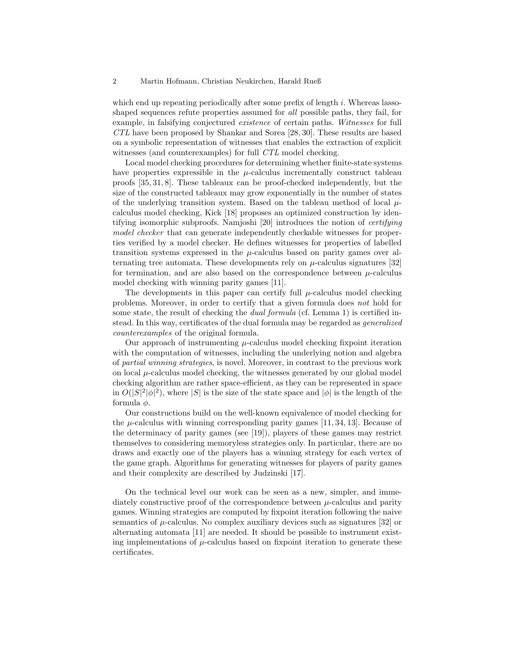which end up repeating periodically after some prefix of length  $i$ . Whereas lassoshaped sequences refute properties assumed for *all* possible paths, they fail, for example, in falsifying conjectured existence of certain paths. Witnesses for full CTL have been proposed by Shankar and Sorea [28, 30]. These results are based on a symbolic representation of witnesses that enables the extraction of explicit witnesses (and counterexamples) for full CTL model checking.

Local model checking procedures for determining whether finite-state systems have properties expressible in the  $\mu$ -calculus incrementally construct tableau proofs [35, 31, 8]. These tableaux can be proof-checked independently, but the size of the constructed tableaux may grow exponentially in the number of states of the underlying transition system. Based on the tableau method of local  $\mu$ calculus model checking, Kick [18] proposes an optimized construction by identifying isomorphic subproofs. Namjoshi [20] introduces the notion of certifying model checker that can generate independently checkable witnesses for properties verified by a model checker. He defines witnesses for properties of labelled transition systems expressed in the  $\mu$ -calculus based on parity games over alternating tree automata. These developments rely on  $\mu$ -calculus signatures [32] for termination, and are also based on the correspondence between  $\mu$ -calculus model checking with winning parity games [11].

The developments in this paper can certify full  $\mu$ -calculus model checking problems. Moreover, in order to certify that a given formula does not hold for some state, the result of checking the *dual formula* (cf. Lemma 1) is certified instead. In this way, certificates of the dual formula may be regarded as generalized counterexamples of the original formula.

Our approach of instrumenting  $\mu$ -calculus model checking fixpoint iteration with the computation of witnesses, including the underlying notion and algebra of partial winning strategies, is novel. Moreover, in contrast to the previous work on local  $\mu$ -calculus model checking, the witnesses generated by our global model checking algorithm are rather space-efficient, as they can be represented in space in  $O(|S|^2|\phi|^2)$ , where |S| is the size of the state space and  $|\phi|$  is the length of the formula  $\phi$ .

Our constructions build on the well-known equivalence of model checking for the  $\mu$ -calculus with winning corresponding parity games [11, 34, 13]. Because of the determinacy of parity games (see [19]), players of these games may restrict themselves to considering memoryless strategies only. In particular, there are no draws and exactly one of the players has a winning strategy for each vertex of the game graph. Algorithms for generating witnesses for players of parity games and their complexity are described by Judzinski [17].

On the technical level our work can be seen as a new, simpler, and immediately constructive proof of the correspondence between  $\mu$ -calculus and parity games. Winning strategies are computed by fixpoint iteration following the naive semantics of  $\mu$ -calculus. No complex auxiliary devices such as signatures [32] or alternating automata [11] are needed. It should be possible to instrument existing implementations of  $\mu$ -calculus based on fixpoint iteration to generate these certificates.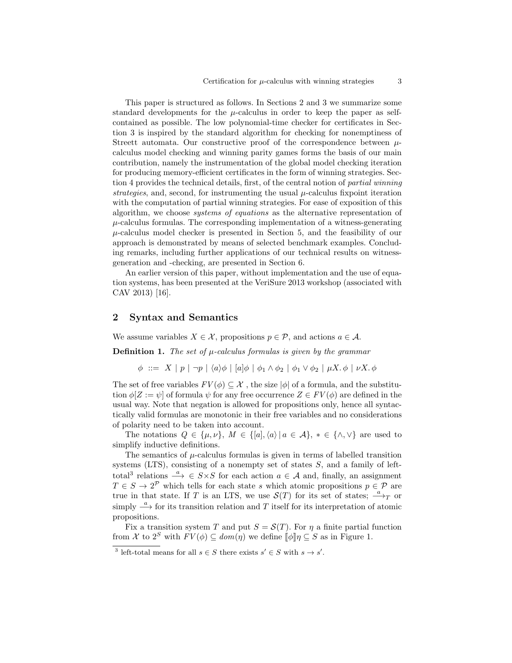This paper is structured as follows. In Sections 2 and 3 we summarize some standard developments for the  $\mu$ -calculus in order to keep the paper as selfcontained as possible. The low polynomial-time checker for certificates in Section 3 is inspired by the standard algorithm for checking for nonemptiness of Streett automata. Our constructive proof of the correspondence between  $\mu$ calculus model checking and winning parity games forms the basis of our main contribution, namely the instrumentation of the global model checking iteration for producing memory-efficient certificates in the form of winning strategies. Section 4 provides the technical details, first, of the central notion of partial winning strategies, and, second, for instrumenting the usual  $\mu$ -calculus fixpoint iteration with the computation of partial winning strategies. For ease of exposition of this algorithm, we choose systems of equations as the alternative representation of  $\mu$ -calculus formulas. The corresponding implementation of a witness-generating  $\mu$ -calculus model checker is presented in Section 5, and the feasibility of our approach is demonstrated by means of selected benchmark examples. Concluding remarks, including further applications of our technical results on witnessgeneration and -checking, are presented in Section 6.

An earlier version of this paper, without implementation and the use of equation systems, has been presented at the VeriSure 2013 workshop (associated with CAV 2013) [16].

# 2 Syntax and Semantics

We assume variables  $X \in \mathcal{X}$ , propositions  $p \in \mathcal{P}$ , and actions  $a \in \mathcal{A}$ .

**Definition 1.** The set of  $\mu$ -calculus formulas is given by the grammar

 $\phi$  ::=  $X | p | \neg p | \langle a \rangle \phi | [a] \phi | \phi_1 \wedge \phi_2 | \phi_1 \vee \phi_2 | \mu X. \phi | \nu X. \phi$ 

The set of free variables  $FV(\phi) \subseteq \mathcal{X}$ , the size  $|\phi|$  of a formula, and the substitution  $\phi[Z := \psi]$  of formula  $\psi$  for any free occurrence  $Z \in FV(\phi)$  are defined in the usual way. Note that negation is allowed for propositions only, hence all syntactically valid formulas are monotonic in their free variables and no considerations of polarity need to be taken into account.

The notations  $Q \in {\{\mu,\nu\},\ M \in {\{[a],\langle a \rangle | a \in \mathcal{A}\},\ * \in {\{\land,\lor\}}\}}$  are used to simplify inductive definitions.

The semantics of  $\mu$ -calculus formulas is given in terms of labelled transition systems (LTS), consisting of a nonempty set of states  $S$ , and a family of lefttotal<sup>3</sup> relations  $\xrightarrow{a} \in S \times S$  for each action  $a \in \mathcal{A}$  and, finally, an assignment  $T \in S \to 2^{\mathcal{P}}$  which tells for each state s which atomic propositions  $p \in \mathcal{P}$  are true in that state. If T is an LTS, we use  $\mathcal{S}(T)$  for its set of states;  $\stackrel{a}{\longrightarrow}_T$  or simply  $\stackrel{a}{\longrightarrow}$  for its transition relation and T itself for its interpretation of atomic propositions.

Fix a transition system T and put  $S = \mathcal{S}(T)$ . For  $\eta$  a finite partial function from X to  $2^S$  with  $FV(\phi) \subseteq dom(\eta)$  we define  $\llbracket \phi \rrbracket \eta \subseteq S$  as in Figure 1.

<sup>&</sup>lt;sup>3</sup> left-total means for all  $s \in S$  there exists  $s' \in S$  with  $s \to s'$ .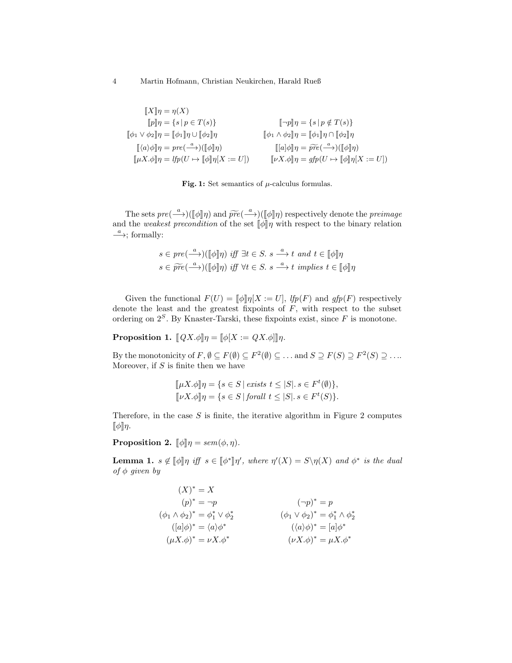4 Martin Hofmann, Christian Neukirchen, Harald Rueß

| $\ X\ \eta = \eta(X)$                                                                                                     |                                                                                                           |
|---------------------------------------------------------------------------------------------------------------------------|-----------------------------------------------------------------------------------------------------------|
| $[ p ]   \eta = \{ s \mid p \in T(s) \}$                                                                                  | $[\neg p]\eta = \{s \mid p \notin T(s)\}\$                                                                |
| $\ \phi_1 \vee \phi_2\ _{\eta} = \ \phi_1\ _{\eta} \cup \ \phi_2\ _{\eta}$                                                | $[\![\phi_1 \wedge \phi_2]\!] \eta = [\![\phi_1]\!] \eta \cap [\![\phi_2]\!] \eta$                        |
| $\llbracket \langle a \rangle \phi \rrbracket \eta = pre(\stackrel{a}{\longrightarrow})(\llbracket \phi \rrbracket \eta)$ | $\llbracket [a]\phi \rrbracket \eta = \widetilde{pre}(\xrightarrow{a}) (\llbracket \phi \rrbracket \eta)$ |
| $[\![\mu X.\phi]\!] \eta = lfp(U \mapsto [\![\phi]\!] \eta[X := U])$                                                      | $[\![\nu X.\phi]\!] \eta = gfp(U \mapsto [\![\phi]\!] \eta[X := U])$                                      |
|                                                                                                                           |                                                                                                           |



The sets  $pre(\frac{a}{\phi}](\phi \|\eta)$  and  $\widetilde{pre}(\frac{a}{\phi}\| \eta)$  respectively denote the *preimage*<br>the *weakest* precondition of the set  $\phi \|\phi\|$  with respect to the binary relation and the weakest precondition of the set  $\llbracket \phi \rrbracket \eta$  with respect to the binary relation  $\xrightarrow{a}$ ; formally:

$$
s \in pre(\stackrel{a}{\longrightarrow})(\llbracket \phi \rrbracket \eta) \text{ iff } \exists t \in S. \ s \stackrel{a}{\longrightarrow} t \text{ and } t \in \llbracket \phi \rrbracket \eta
$$

$$
s \in \widetilde{pre}(\stackrel{a}{\longrightarrow})(\llbracket \phi \rrbracket \eta) \text{ iff } \forall t \in S. \ s \stackrel{a}{\longrightarrow} t \text{ implies } t \in \llbracket \phi \rrbracket \eta
$$

Given the functional  $F(U) = [\![\phi]\!] \eta[X := U],$  lt $[p(F)]$  and  $gfp(F)$  respectively denote the least and the greatest fixpoints of  $F$ , with respect to the subset ordering on  $2<sup>S</sup>$ . By Knaster-Tarski, these fixpoints exist, since F is monotone.

**Proposition 1.**  $[QX.\phi]\eta = [\phi[X := QX.\phi]]\eta$ .

By the monotonicity of  $F, \emptyset \subseteq F(\emptyset) \subseteq F^2(\emptyset) \subseteq \ldots$  and  $S \supseteq F(S) \supseteq F^2(S) \supseteq \ldots$ Moreover, if  $S$  is finite then we have

$$
[\![\mu X.\phi]\!] \eta = \{ s \in S \mid \text{exists } t \leq |S|, s \in F^t(\emptyset) \},
$$
  

$$
[\![\nu X.\phi]\!] \eta = \{ s \in S \mid \text{for all } t \leq |S|, s \in F^t(S) \}.
$$

Therefore, in the case  $S$  is finite, the iterative algorithm in Figure 2 computes  $\llbracket \phi \rrbracket \eta$ .

**Proposition 2.**  $\llbracket \phi \rrbracket \eta = \text{sem}(\phi, \eta)$ .

**Lemma 1.**  $s \notin [\![\phi]\!] \eta$  iff  $s \in [\![\phi^*]\!] \eta'$ , where  $\eta'(X) = S \setminus \eta(X)$  and  $\phi^*$  is the dual of  $\phi$  arrows by of  $\phi$  given by

$$
(X)^* = X
$$
  
\n
$$
(p)^* = \neg p
$$
  
\n
$$
(\phi_1 \land \phi_2)^* = \phi_1^* \lor \phi_2^*
$$
  
\n
$$
([a]\phi)^* = \langle a \rangle \phi^*
$$
  
\n
$$
(\mu X. \phi)^* = \nu X. \phi^*
$$
  
\n
$$
(\phi_1 \lor \phi_2)^* = \phi_1^* \land \phi_2^*
$$
  
\n
$$
(\langle a \rangle \phi)^* = [a]\phi^*
$$
  
\n
$$
(\nu X. \phi)^* = \mu X. \phi^*
$$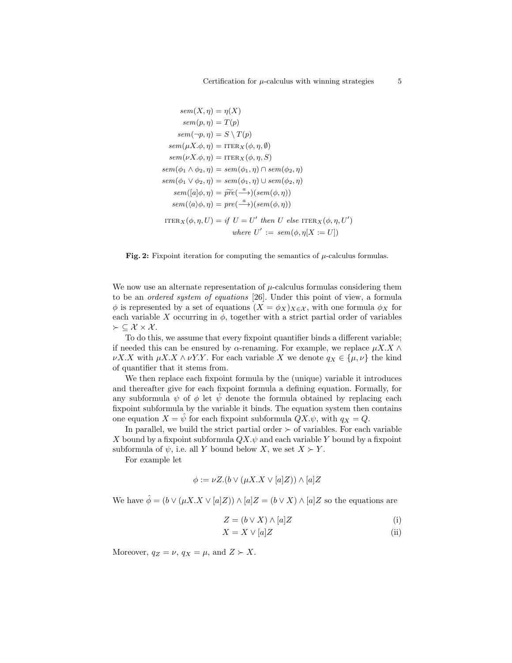$$
sem(X, \eta) = \eta(X)
$$
  
\n
$$
sem(p, \eta) = T(p)
$$
  
\n
$$
sem(\neg p, \eta) = S \setminus T(p)
$$
  
\n
$$
sem(\mu X. \phi, \eta) = \text{ITER}_X(\phi, \eta, \emptyset)
$$
  
\n
$$
sem(\phi \setminus \phi, \eta) = \text{ITER}_X(\phi, \eta, S)
$$
  
\n
$$
sem(\phi_1 \land \phi_2, \eta) = sem(\phi_1, \eta) \cap sem(\phi_2, \eta)
$$
  
\n
$$
sem(\phi_1 \lor \phi_2, \eta) = sem(\phi_1, \eta) \cup sem(\phi_2, \eta)
$$
  
\n
$$
sem([\mathbf{a}]\phi, \eta) = \widetilde{pre}(\xrightarrow{a}) (sem(\phi, \eta))
$$
  
\n
$$
sem(\langle \mathbf{a} \rangle \phi, \eta) = pre(\xrightarrow{a}) (sem(\phi, \eta))
$$
  
\n
$$
\text{ITER}_X(\phi, \eta, U) = \text{if } U = U' \text{ then } U \text{ else } \text{ITER}_X(\phi, \eta, U')
$$
  
\n
$$
where U' := sem(\phi, \eta[X := U])
$$



We now use an alternate representation of  $\mu$ -calculus formulas considering them to be an ordered system of equations [26]. Under this point of view, a formula  $\phi$  is represented by a set of equations  $(X = \phi_X)_{X \in \mathcal{X}}$ , with one formula  $\phi_X$  for each variable X occurring in  $\phi$ , together with a strict partial order of variables  $\succ \subseteq \mathcal{X} \times \mathcal{X}$ .

To do this, we assume that every fixpoint quantifier binds a different variable; if needed this can be ensured by  $\alpha$ -renaming. For example, we replace  $\mu X.X \wedge$  $\nu X.X$  with  $\mu X.X \wedge \nu Y.Y$ . For each variable X we denote  $q_X \in {\{\mu, \nu\}}$  the kind of quantifier that it stems from.

We then replace each fixpoint formula by the (unique) variable it introduces and thereafter give for each fixpoint formula a defining equation. Formally, for any subformula  $\psi$  of  $\phi$  let  $\hat{\psi}$  denote the formula obtained by replacing each fixpoint subformula by the variable it binds. The equation system then contains one equation  $X = \hat{\psi}$  for each fixpoint subformula  $QX.\psi$ , with  $q_X = Q$ .

In parallel, we build the strict partial order  $\succ$  of variables. For each variable X bound by a fixpoint subformula  $QX.\psi$  and each variable Y bound by a fixpoint subformula of  $\psi$ , i.e. all Y bound below X, we set  $X \succ Y$ .

For example let

$$
\phi := \nu Z.(b \vee (\mu X.X \vee [a]Z)) \wedge [a]Z
$$

We have  $\hat{\phi} = (b \vee (\mu X.X \vee [a]Z)) \wedge [a]Z = (b \vee X) \wedge [a]Z$  so the equations are

$$
Z = (b \lor X) \land [a]Z \tag{i}
$$

$$
X = X \vee [a]Z \tag{ii}
$$

Moreover,  $q_Z = \nu$ ,  $q_X = \mu$ , and  $Z \succ X$ .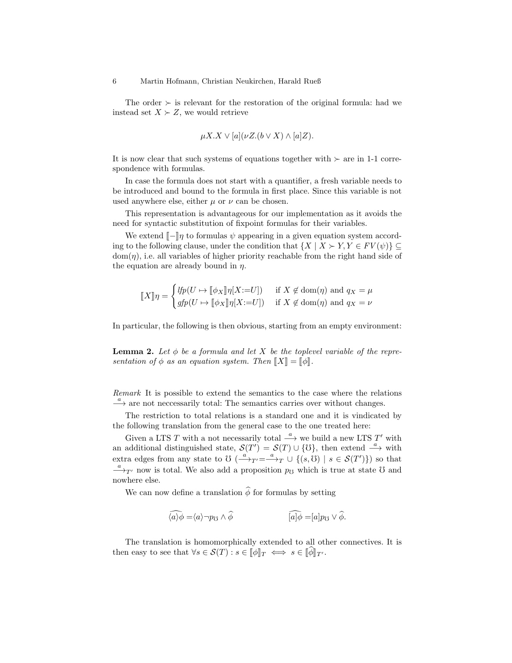The order  $\succ$  is relevant for the restoration of the original formula: had we instead set  $X \succ Z$ , we would retrieve

$$
\mu X. X \vee [a](\nu Z. (b \vee X) \wedge [a]Z).
$$

It is now clear that such systems of equations together with  $\succ$  are in 1-1 correspondence with formulas.

In case the formula does not start with a quantifier, a fresh variable needs to be introduced and bound to the formula in first place. Since this variable is not used anywhere else, either  $\mu$  or  $\nu$  can be chosen.

This representation is advantageous for our implementation as it avoids the need for syntactic substitution of fixpoint formulas for their variables.

We extend  $\llbracket -\rrbracket \eta$  to formulas  $\psi$  appearing in a given equation system according to the following clause, under the condition that  $\{X \mid X \succ Y, Y \in FV(\psi)\}\subseteq$  $dom(\eta)$ , i.e. all variables of higher priority reachable from the right hand side of the equation are already bound in  $\eta$ .

$$
\llbracket X \rrbracket \eta = \begin{cases} \n\text{If } \eta(U \mapsto \llbracket \phi_X \rrbracket \eta[X := U]) & \text{if } X \notin \text{dom}(\eta) \text{ and } q_X = \mu \\ \n\text{If } \eta(U \mapsto \llbracket \phi_X \rrbracket \eta[X := U]) & \text{if } X \notin \text{dom}(\eta) \text{ and } q_X = \nu \n\end{cases}
$$

In particular, the following is then obvious, starting from an empty environment:

**Lemma 2.** Let  $\phi$  be a formula and let X be the toplevel variable of the representation of  $\phi$  as an equation system. Then  $\llbracket X \rrbracket = \llbracket \phi \rrbracket$ .

Remark It is possible to extend the semantics to the case where the relations  $\stackrel{a}{\longrightarrow}$  are not neccessarily total: The semantics carries over without changes.

The restriction to total relations is a standard one and it is vindicated by the following translation from the general case to the one treated here:

Given a LTS T with a not necessarily total  $\stackrel{a}{\longrightarrow}$  we build a new LTS T' with an additional distinguished state,  $\mathcal{S}(T') = \mathcal{S}(T) \cup \{ \mathcal{O} \}$ , then extend  $\stackrel{a}{\longrightarrow}$  with extra edges from any state to  $\mathfrak{V}$  ( $\stackrel{a}{\longrightarrow}T'=\stackrel{a}{\longrightarrow}T\cup\{(s,\mathfrak{V})\mid s\in\mathcal{S}(T')\})$  so that  $\frac{a}{\longrightarrow_{T'} }$  now is total. We also add a proposition  $p_{\mathcal{O}}$  which is true at state  $\mathcal O$  and nowhere else.

We can now define a translation  $\widehat{\phi}$  for formulas by setting

$$
\widehat{\langle a \rangle \phi} = \langle a \rangle - p_{\mathcal{O}} \wedge \widehat{\phi} \qquad \qquad [\widehat{a}]\widehat{\phi} = [a]p_{\mathcal{O}} \vee \widehat{\phi}.
$$

The translation is homomorphically extended to all other connectives. It is then easy to see that  $\forall s \in \mathcal{S}(T) : s \in [\![\phi]\!]_T \iff s \in [\![\phi]\!]_{T'}.$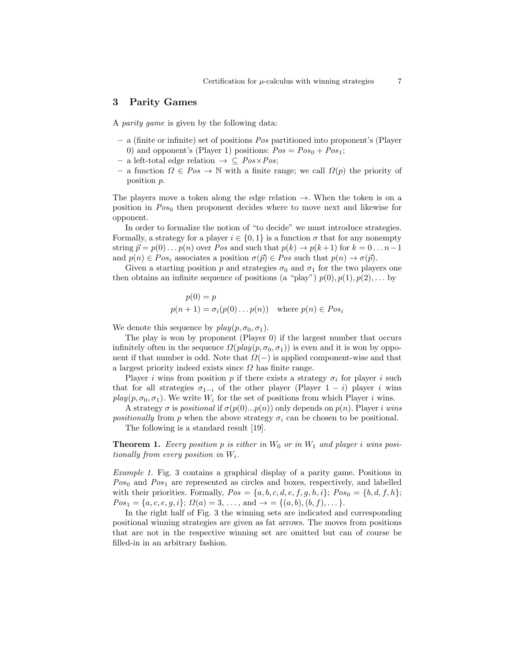# 3 Parity Games

A parity game is given by the following data:

- a (finite or infinite) set of positions Pos partitioned into proponent's (Player 0) and opponent's (Player 1) positions:  $Pos = Pos_0 + Pos_1$ ;
- a left-total edge relation  $\rightarrow \subseteq Pos \times Pos;$
- a function  $\Omega \in Pos \to \mathbb{N}$  with a finite range; we call  $\Omega(p)$  the priority of position p.

The players move a token along the edge relation  $\rightarrow$ . When the token is on a position in  $Pos_0$  then proponent decides where to move next and likewise for opponent.

In order to formalize the notion of "to decide" we must introduce strategies. Formally, a strategy for a player  $i \in \{0,1\}$  is a function  $\sigma$  that for any nonempty string  $\vec{p} = p(0) \dots p(n)$  over Pos and such that  $p(k) \rightarrow p(k+1)$  for  $k = 0 \dots n-1$ and  $p(n) \in Pos_i$  associates a position  $\sigma(\vec{p}) \in Pos$  such that  $p(n) \to \sigma(\vec{p})$ .

Given a starting position p and strategies  $\sigma_0$  and  $\sigma_1$  for the two players one then obtains an infinite sequence of positions (a "play")  $p(0), p(1), p(2), \ldots$  by

$$
p(0) = p
$$
  

$$
p(n + 1) = \sigma_i(p(0) \dots p(n)) \text{ where } p(n) \in Pos_i
$$

We denote this sequence by  $play(p, \sigma_0, \sigma_1)$ .

The play is won by proponent (Player 0) if the largest number that occurs infinitely often in the sequence  $\Omega(\text{play}(p, \sigma_0, \sigma_1))$  is even and it is won by opponent if that number is odd. Note that  $\Omega(-)$  is applied component-wise and that a largest priority indeed exists since  $\Omega$  has finite range.

Player i wins from position p if there exists a strategy  $\sigma_i$  for player i such that for all strategies  $\sigma_{1-i}$  of the other player (Player 1 − i) player i wins  $play(p, \sigma_0, \sigma_1)$ . We write  $W_i$  for the set of positions from which Player i wins.

A strategy  $\sigma$  is positional if  $\sigma(p(0)...p(n))$  only depends on  $p(n)$ . Player i wins *positionally* from p when the above strategy  $\sigma_i$  can be chosen to be positional.

The following is a standard result [19].

**Theorem 1.** Every position p is either in  $W_0$  or in  $W_1$  and player i wins positionally from every position in  $W_i$ .

Example 1. Fig. 3 contains a graphical display of a parity game. Positions in  $Pos_0$  and  $Pos_1$  are represented as circles and boxes, respectively, and labelled with their priorities. Formally,  $Pos = \{a, b, c, d, e, f, g, h, i\}; Pos_0 = \{b, d, f, h\};$  $Pos_1 = \{a, c, e, g, i\}; \Omega(a) = 3, \ldots, \text{ and } \rightarrow \emptyset = \{(a, b), (b, f), \ldots\}.$ 

In the right half of Fig. 3 the winning sets are indicated and corresponding positional winning strategies are given as fat arrows. The moves from positions that are not in the respective winning set are omitted but can of course be filled-in in an arbitrary fashion.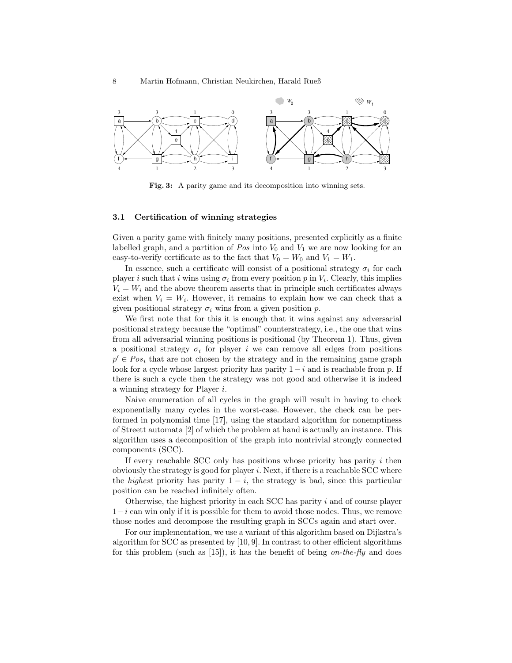

Fig. 3: A parity game and its decomposition into winning sets.

#### 3.1 Certification of winning strategies

Given a parity game with finitely many positions, presented explicitly as a finite labelled graph, and a partition of  $Pos$  into  $V_0$  and  $V_1$  we are now looking for an easy-to-verify certificate as to the fact that  $V_0 = W_0$  and  $V_1 = W_1$ .

In essence, such a certificate will consist of a positional strategy  $\sigma_i$  for each player i such that i wins using  $\sigma_i$  from every position p in  $V_i$ . Clearly, this implies  $V_i = W_i$  and the above theorem asserts that in principle such certificates always exist when  $V_i = W_i$ . However, it remains to explain how we can check that a given positional strategy  $\sigma_i$  wins from a given position p.

We first note that for this it is enough that it wins against any adversarial positional strategy because the "optimal" counterstrategy, i.e., the one that wins from all adversarial winning positions is positional (by Theorem 1). Thus, given a positional strategy  $\sigma_i$  for player i we can remove all edges from positions  $p' \in Pos_i$  that are not chosen by the strategy and in the remaining game graph look for a cycle whose largest priority has parity  $1 - i$  and is reachable from p. If there is such a cycle then the strategy was not good and otherwise it is indeed a winning strategy for Player i.

Naive enumeration of all cycles in the graph will result in having to check exponentially many cycles in the worst-case. However, the check can be performed in polynomial time [17], using the standard algorithm for nonemptiness of Streett automata [2] of which the problem at hand is actually an instance. This algorithm uses a decomposition of the graph into nontrivial strongly connected components (SCC).

If every reachable SCC only has positions whose priority has parity  $i$  then obviously the strategy is good for player  $i$ . Next, if there is a reachable SCC where the *highest* priority has parity  $1 - i$ , the strategy is bad, since this particular position can be reached infinitely often.

Otherwise, the highest priority in each SCC has parity i and of course player  $1-i$  can win only if it is possible for them to avoid those nodes. Thus, we remove those nodes and decompose the resulting graph in SCCs again and start over.

For our implementation, we use a variant of this algorithm based on Dijkstra's algorithm for SCC as presented by [10, 9]. In contrast to other efficient algorithms for this problem (such as [15]), it has the benefit of being on-the-fly and does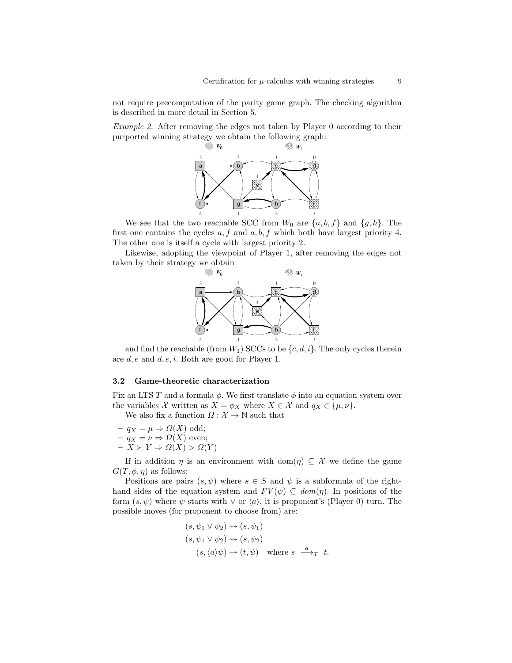not require precomputation of the parity game graph. The checking algorithm is described in more detail in Section 5.

Example 2. After removing the edges not taken by Player 0 according to their



We see that the two reachable SCC from  $W_0$  are  $\{a, b, f\}$  and  $\{g, h\}$ . The first one contains the cycles  $a, f$  and  $a, b, f$  which both have largest priority 4. The other one is itself a cycle with largest priority 2.

Likewise, adopting the viewpoint of Player 1, after removing the edges not taken by their strategy we obtain



and find the reachable (from  $W_1$ ) SCCs to be  $\{c, d, i\}$ . The only cycles therein are  $d, e$  and  $d, e, i$ . Both are good for Player 1.

#### 3.2 Game-theoretic characterization

Fix an LTS T and a formula  $\phi$ . We first translate  $\phi$  into an equation system over the variables X written as  $X = \phi_X$  where  $X \in \mathcal{X}$  and  $q_X \in {\{\mu, \nu\}}$ .

We also fix a function  $\Omega : \mathcal{X} \to \mathbb{N}$  such that

- $-q_X = \mu \Rightarrow \Omega(X)$  odd;  $-q_X = \nu \Rightarrow \Omega(X)$  even;
- $-\bar{X} \succ Y \Rightarrow \Omega(X) > \Omega(Y)$

If in addition  $\eta$  is an environment with dom( $\eta$ )  $\subseteq \mathcal{X}$  we define the game  $G(T, \phi, \eta)$  as follows:

Positions are pairs  $(s, \psi)$  where  $s \in S$  and  $\psi$  is a subformula of the righthand sides of the equation system and  $FV(\psi) \subseteq dom(\eta)$ . In positions of the form  $(s, \psi)$  where  $\psi$  starts with  $\vee$  or  $\langle a \rangle$ , it is proponent's (Player 0) turn. The possible moves (for proponent to choose from) are:

$$
(s, \psi_1 \lor \psi_2) \rightsquigarrow (s, \psi_1)
$$
  
\n
$$
(s, \psi_1 \lor \psi_2) \rightsquigarrow (s, \psi_2)
$$
  
\n
$$
(s, \langle a \rangle \psi) \rightsquigarrow (t, \psi) \text{ where } s \xrightarrow{a} T t.
$$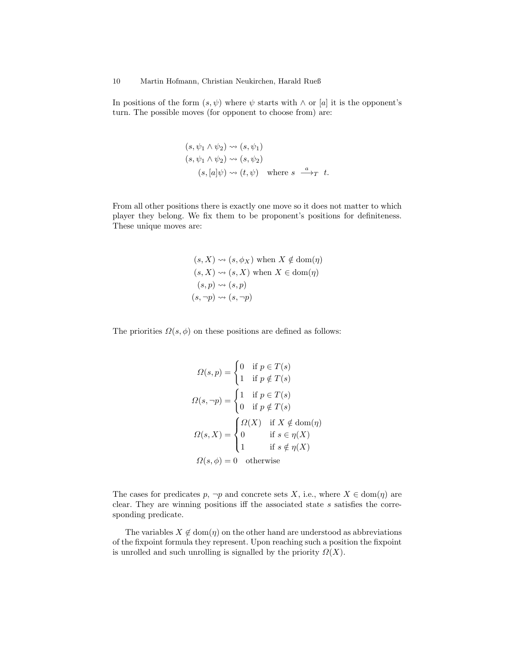In positions of the form  $(s, \psi)$  where  $\psi$  starts with  $\wedge$  or [a] it is the opponent's turn. The possible moves (for opponent to choose from) are:

$$
(s, \psi_1 \land \psi_2) \rightsquigarrow (s, \psi_1)
$$
  
\n
$$
(s, \psi_1 \land \psi_2) \rightsquigarrow (s, \psi_2)
$$
  
\n
$$
(s, [a]\psi) \rightsquigarrow (t, \psi) \text{ where } s \xrightarrow{a} T t.
$$

From all other positions there is exactly one move so it does not matter to which player they belong. We fix them to be proponent's positions for definiteness. These unique moves are:

$$
(s, X) \rightsquigarrow (s, \phi_X) \text{ when } X \notin \text{dom}(\eta)
$$
  

$$
(s, X) \rightsquigarrow (s, X) \text{ when } X \in \text{dom}(\eta)
$$
  

$$
(s, p) \rightsquigarrow (s, p)
$$
  

$$
(s, \neg p) \rightsquigarrow (s, \neg p)
$$

The priorities  $\Omega(s, \phi)$  on these positions are defined as follows:

$$
\Omega(s, p) = \begin{cases}\n0 & \text{if } p \in T(s) \\
1 & \text{if } p \notin T(s)\n\end{cases}
$$
\n
$$
\Omega(s, \neg p) = \begin{cases}\n1 & \text{if } p \in T(s) \\
0 & \text{if } p \notin T(s)\n\end{cases}
$$
\n
$$
\Omega(s, X) = \begin{cases}\n\Omega(X) & \text{if } X \notin \text{dom}(\eta) \\
0 & \text{if } s \in \eta(X) \\
1 & \text{if } s \notin \eta(X)\n\end{cases}
$$
\n
$$
\Omega(s, \phi) = 0 \text{ otherwise}
$$

The cases for predicates p,  $\neg p$  and concrete sets X, i.e., where  $X \in \text{dom}(\eta)$  are clear. They are winning positions iff the associated state s satisfies the corresponding predicate.

The variables  $X \notin \text{dom}(\eta)$  on the other hand are understood as abbreviations of the fixpoint formula they represent. Upon reaching such a position the fixpoint is unrolled and such unrolling is signalled by the priority  $\Omega(X)$ .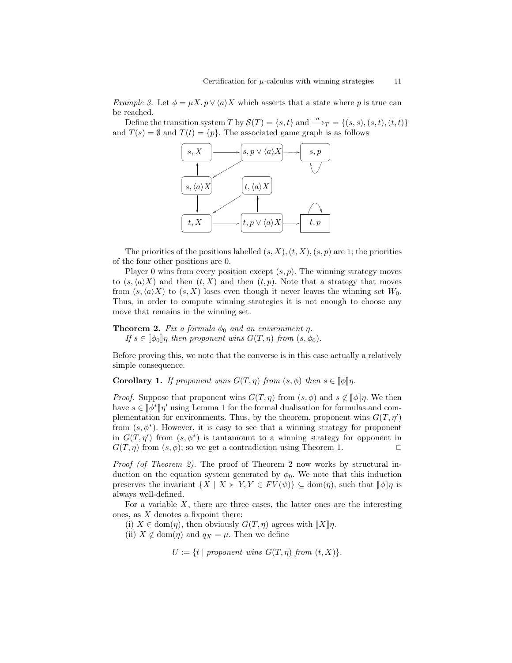*Example 3.* Let  $\phi = \mu X. p \vee \langle a \rangle X$  which asserts that a state where p is true can be reached.

Define the transition system T by  $\mathcal{S}(T) = \{s, t\}$  and  $\xrightarrow{a} T = \{(s, s), (s, t), (t, t)\}$ and  $T(s) = \emptyset$  and  $T(t) = \{p\}$ . The associated game graph is as follows



The priorities of the positions labelled  $(s, X), (t, X), (s, p)$  are 1; the priorities of the four other positions are 0.

Player 0 wins from every position except  $(s, p)$ . The winning strategy moves to  $(s, \langle a \rangle X)$  and then  $(t, X)$  and then  $(t, p)$ . Note that a strategy that moves from  $(s, \langle a \rangle X)$  to  $(s, X)$  loses even though it never leaves the winning set  $W_0$ . Thus, in order to compute winning strategies it is not enough to choose any move that remains in the winning set.

**Theorem 2.** Fix a formula  $\phi_0$  and an environment  $\eta$ . If  $s \in [\![\phi_0]\!] \eta$  then proponent wins  $G(T, \eta)$  from  $(s, \phi_0)$ .

Before proving this, we note that the converse is in this case actually a relatively simple consequence.

**Corollary 1.** If proponent wins  $G(T, \eta)$  from  $(s, \phi)$  then  $s \in [\![\phi]\!] \eta$ .

*Proof.* Suppose that proponent wins  $G(T, \eta)$  from  $(s, \phi)$  and  $s \notin [\![\phi]\!] \eta$ . We then have  $s \in [\![\phi^*]\!] \eta'$  using Lemma 1 for the formal dualisation for formulas and com-<br>plementation for environments. Thus, by the theorem, proponent wins  $C(T, \mathbf{a}')$ plementation for environments. Thus, by the theorem, proponent wins  $G(T, \eta')$ from  $(s, \phi^*)$ . However, it is easy to see that a winning strategy for proponent in  $G(T, \eta')$  from  $(s, \phi^*)$  is tantamount to a winning strategy for opponent in  $G(T, \eta)$  from  $(s, \phi)$ ; so we get a contradiction using Theorem 1.

Proof (of Theorem 2). The proof of Theorem 2 now works by structural induction on the equation system generated by  $\phi_0$ . We note that this induction preserves the invariant  $\{X \mid X \succ Y, Y \in FV(\psi)\}\subseteq \text{dom}(\eta)$ , such that  $\llbracket \phi \rrbracket \eta$  is always well-defined.

For a variable  $X$ , there are three cases, the latter ones are the interesting ones, as  $X$  denotes a fixpoint there:

(i)  $X \in \text{dom}(\eta)$ , then obviously  $G(T, \eta)$  agrees with  $\llbracket X \rrbracket \eta$ .

(ii)  $X \notin \text{dom}(\eta)$  and  $q_X = \mu$ . Then we define

 $U := \{t \mid proponent \ wins \ G(T, \eta) \ from \ (t, X)\}.$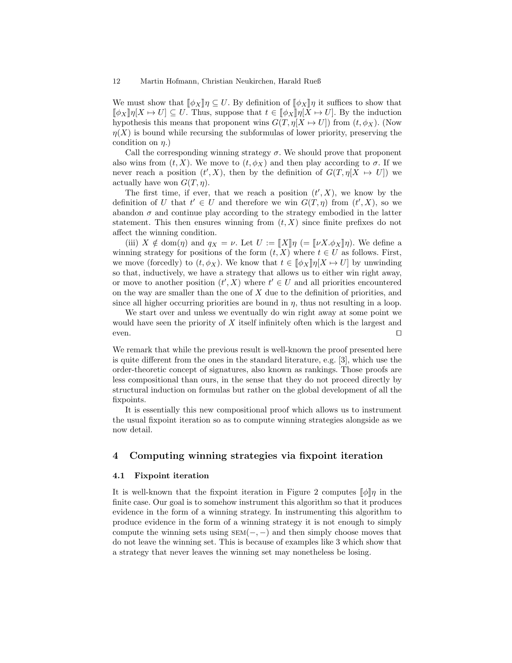#### 12 Martin Hofmann, Christian Neukirchen, Harald Rueß

We must show that  $\llbracket \phi_X \rrbracket \eta \subseteq U$ . By definition of  $\llbracket \phi_X \rrbracket \eta$  it suffices to show that  $[\![\phi_X]\!] \eta[X \mapsto U] \subseteq U$ . Thus, suppose that  $t \in [\![\phi_X]\!] \eta[X \mapsto U]$ . By the induction hypothesis this means that proponent wins  $G(T, \eta[X \mapsto U])$  from  $(t, \phi_X)$ . (Now  $\eta(X)$  is bound while recursing the subformulas of lower priority, preserving the condition on  $\eta$ .)

Call the corresponding winning strategy  $\sigma$ . We should prove that proponent also wins from  $(t, X)$ . We move to  $(t, \phi_X)$  and then play according to  $\sigma$ . If we never reach a position  $(t', X)$ , then by the definition of  $G(T, \eta | X \rightarrow U)$  we actually have won  $G(T, \eta)$ .

The first time, if ever, that we reach a position  $(t', X)$ , we know by the definition of U that  $t' \in U$  and therefore we win  $G(T, \eta)$  from  $(t', X)$ , so we abandon  $\sigma$  and continue play according to the strategy embodied in the latter statement. This then ensures winning from  $(t, X)$  since finite prefixes do not affect the winning condition.

(iii)  $X \notin \text{dom}(\eta)$  and  $q_X = \nu$ . Let  $U := [X] \eta$  (=  $[\![\nu X \cdot \phi_X]\!] \eta$ ). We define a winning strategy for positions of the form  $(t, X)$  where  $t \in U$  as follows. First, we move (forcedly) to  $(t, \phi_X)$ . We know that  $t \in [\![\phi_X]\!] \eta[X \mapsto U]$  by unwinding so that, inductively, we have a strategy that allows us to either win right away, or move to another position  $(t', X)$  where  $t' \in U$  and all priorities encountered on the way are smaller than the one of  $X$  due to the definition of priorities, and since all higher occurring priorities are bound in  $\eta$ , thus not resulting in a loop.

We start over and unless we eventually do win right away at some point we would have seen the priority of X itself infinitely often which is the largest and  $e$ ven.

We remark that while the previous result is well-known the proof presented here is quite different from the ones in the standard literature, e.g. [3], which use the order-theoretic concept of signatures, also known as rankings. Those proofs are less compositional than ours, in the sense that they do not proceed directly by structural induction on formulas but rather on the global development of all the fixpoints.

It is essentially this new compositional proof which allows us to instrument the usual fixpoint iteration so as to compute winning strategies alongside as we now detail.

# 4 Computing winning strategies via fixpoint iteration

#### 4.1 Fixpoint iteration

It is well-known that the fixpoint iteration in Figure 2 computes  $\llbracket \phi \rrbracket \eta$  in the finite case. Our goal is to somehow instrument this algorithm so that it produces evidence in the form of a winning strategy. In instrumenting this algorithm to produce evidence in the form of a winning strategy it is not enough to simply compute the winning sets using  $SEM(-, -)$  and then simply choose moves that do not leave the winning set. This is because of examples like 3 which show that a strategy that never leaves the winning set may nonetheless be losing.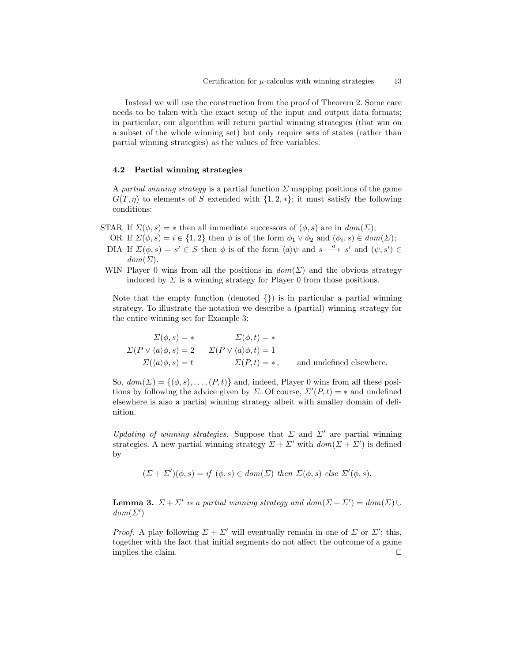Instead we will use the construction from the proof of Theorem 2. Some care needs to be taken with the exact setup of the input and output data formats; in particular, our algorithm will return partial winning strategies (that win on a subset of the whole winning set) but only require sets of states (rather than partial winning strategies) as the values of free variables.

#### 4.2 Partial winning strategies

A partial winning strategy is a partial function  $\Sigma$  mapping positions of the game  $G(T, \eta)$  to elements of S extended with  $\{1, 2, *\}$ ; it must satisfy the following conditions:

- STAR If  $\Sigma(\phi, s) = *$  then all immediate successors of  $(\phi, s)$  are in  $dom(\Sigma)$ ;
	- OR If  $\Sigma(\phi, s) = i \in \{1, 2\}$  then  $\phi$  is of the form  $\phi_1 \vee \phi_2$  and  $(\phi_i, s) \in dom(\Sigma)$ ;
	- DIA If  $\Sigma(\phi, s) = s' \in S$  then  $\phi$  is of the form  $\langle a \rangle \psi$  and  $s \stackrel{a}{\longrightarrow} s'$  and  $(\psi, s') \in$  $dom(\Sigma)$ .
- WIN Player 0 wins from all the positions in  $dom(\Sigma)$  and the obvious strategy induced by  $\Sigma$  is a winning strategy for Player 0 from those positions.

Note that the empty function (denoted  $\{\}\$ ) is in particular a partial winning strategy. To illustrate the notation we describe a (partial) winning strategy for the entire winning set for Example 3:

$$
\Sigma(\phi, s) = * \qquad \Sigma(\phi, t) = *
$$
  
\n
$$
\Sigma(P \vee \langle a \rangle \phi, s) = 2 \qquad \Sigma(P \vee \langle a \rangle \phi, t) = 1
$$
  
\n
$$
\Sigma(\langle a \rangle \phi, s) = t \qquad \Sigma(P, t) = *, \qquad \text{and undefined elsewhere.}
$$

So,  $dom(\Sigma) = \{(\phi, s), \ldots, (P, t)\}\$ and, indeed, Player 0 wins from all these positions by following the advice given by  $\Sigma$ . Of course,  $\Sigma'(P, t) = *$  and undefined elsewhere is also a partial winning strategy albeit with smaller domain of definition.

Updating of winning strategies. Suppose that  $\Sigma$  and  $\Sigma'$  are partial winning strategies. A new partial winning strategy  $\Sigma + \Sigma'$  with  $dom(\Sigma + \Sigma')$  is defined by

$$
(\Sigma + \Sigma')(\phi, s) = if (\phi, s) \in dom(\Sigma) \text{ then } \Sigma(\phi, s) \text{ else } \Sigma'(\phi, s).
$$

**Lemma 3.**  $\Sigma + \Sigma'$  is a partial winning strategy and  $dom(\Sigma + \Sigma') = dom(\Sigma) \cup$  $dom(\Sigma')$ 

*Proof.* A play following  $\Sigma + \Sigma'$  will eventually remain in one of  $\Sigma$  or  $\Sigma'$ ; this, together with the fact that initial segments do not affect the outcome of a game implies the claim.  $\Box$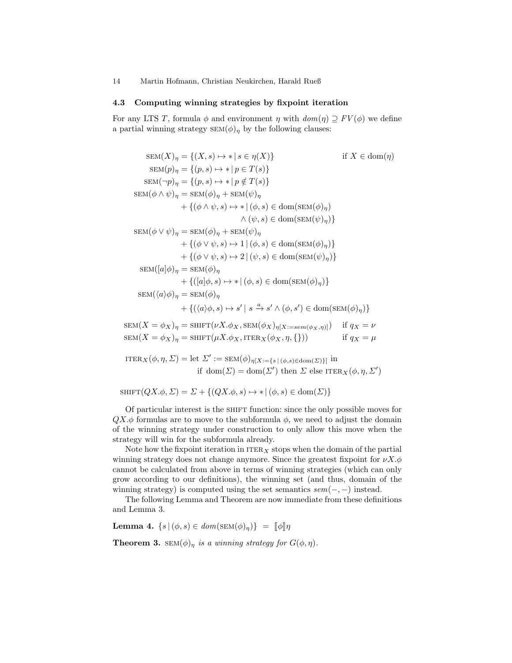14 Martin Hofmann, Christian Neukirchen, Harald Rueß

#### 4.3 Computing winning strategies by fixpoint iteration

For any LTS T, formula  $\phi$  and environment  $\eta$  with  $dom(\eta) \supseteq FV(\phi)$  we define a partial winning strategy  $SEM(\phi)_n$  by the following clauses:

$$
SEM(X)_{\eta} = \{(X, s) \mapsto * | s \in \eta(X)\} \qquad \text{if } X \in \text{dom}(\eta)
$$
  
\n
$$
SEM(p)_{\eta} = \{(p, s) \mapsto * | p \in T(s)\}
$$
  
\n
$$
SEM(-p)_{\eta} = \{(p, s) \mapsto * | p \notin T(s)\}
$$
  
\n
$$
SEM(\phi \wedge \psi)_{\eta} = SEM(\phi)_{\eta} + SEM(\psi)_{\eta}
$$
  
\n
$$
+ \{(\phi \wedge \psi, s) \mapsto * | (\phi, s) \in \text{dom}(\text{SEM}(\phi)_{\eta})\}
$$
  
\n
$$
\wedge (\psi, s) \in \text{dom}(\text{SEM}(\psi)_{\eta})\}
$$
  
\n
$$
SEM(\phi \vee \psi)_{\eta} = SEM(\phi)_{\eta} + SEM(\psi)_{\eta}
$$
  
\n
$$
+ \{(\phi \vee \psi, s) \mapsto 1 | (\phi, s) \in \text{dom}(\text{SEM}(\phi)_{\eta})\}
$$
  
\n
$$
+ \{(\phi \vee \psi, s) \mapsto 2 | (\psi, s) \in \text{dom}(\text{SEM}(\psi)_{\eta})\}
$$
  
\n
$$
SEM([a]\phi)_{\eta} = SEM(\phi)_{\eta}
$$
  
\n
$$
+ \{([\alpha]\phi, s) \mapsto * | (\phi, s) \in \text{dom}(\text{SEM}(\phi)_{\eta})\}
$$
  
\n
$$
SEM(\langle a \rangle \phi)_{\eta} = SEM(\phi)_{\eta}
$$
  
\n
$$
+ \{((a)\phi, s) \mapsto s' | s \xrightarrow{\alpha} s' \wedge (\phi, s') \in \text{dom}(\text{SEM}(\phi)_{\eta})\}
$$
  
\n
$$
PV(X, \psi) = \text{GW}(X, \psi) \wedge \text{GW}(X, \psi) \wedge \text{GW}(X, \psi) \wedge \text{GW}(X, \psi)
$$

 $\text{SEM}(X = \phi_X)_{\eta} = \text{SHIFT}(\nu X.\phi_X, \text{SEM}(\phi_X)_{\eta[X:=sem(\phi_X, \eta)]})$  if  $q_X = \nu$  $\text{SEM}(X = \phi_X)_\eta = \text{SHIFT}(\mu X . \phi_X, \text{ITER}_X(\phi_X, \eta, \{\}))$  if  $q_X = \mu$ 

ITER<sub>X</sub> $(\phi, \eta, \Sigma) = \text{let } \Sigma' := \text{SEM}(\phi)_{\eta[X:=\{s \mid (\phi,s)\in \text{dom}(\Sigma)\}]}\text{ in}$ if  $dom(\Sigma) = dom(\Sigma')$  then  $\Sigma$  else ITER<sub>X</sub>( $\phi, \eta, \Sigma'$ )

 $\text{SHIFT}(QX, \phi, \Sigma) = \Sigma + \{(QX, \phi, s) \mapsto * |(\phi, s) \in \text{dom}(\Sigma)\}\$ 

Of particular interest is the SHIFT function: since the only possible moves for  $QX.\phi$  formulas are to move to the subformula  $\phi$ , we need to adjust the domain of the winning strategy under construction to only allow this move when the strategy will win for the subformula already.

Note how the fixpoint iteration in  $ITER_X$  stops when the domain of the partial winning strategy does not change anymore. Since the greatest fixpoint for  $\nu X.\phi$ cannot be calculated from above in terms of winning strategies (which can only grow according to our definitions), the winning set (and thus, domain of the winning strategy) is computed using the set semantics  $sem(-, -)$  instead.

The following Lemma and Theorem are now immediate from these definitions and Lemma 3.

Lemma 4.  $\{s \mid (\phi, s) \in dom(\operatorname{SEM}(\phi)_\eta)\} = \llbracket \phi \rrbracket \eta$ 

**Theorem 3.**  $SEM(\phi)_\eta$  is a winning strategy for  $G(\phi, \eta)$ .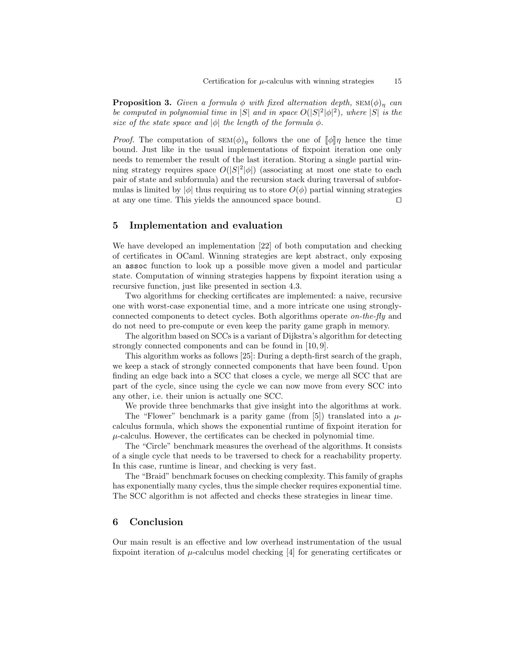**Proposition 3.** Given a formula  $\phi$  with fixed alternation depth,  $SEM(\phi)_{n}$  can be computed in polynomial time in  $|S|$  and in space  $O(|S|^2|\phi|^2)$ , where  $|S|$  is the size of the state space and  $|\phi|$  the length of the formula  $\phi$ .

*Proof.* The computation of  $\text{SEM}(\phi)_{\eta}$  follows the one of  $[\![\phi]\!] \eta$  hence the time bound. Just like in the usual implementations of fixpoint iteration one only needs to remember the result of the last iteration. Storing a single partial winning strategy requires space  $O(|S|^2|\phi|)$  (associating at most one state to each pair of state and subformula) and the recursion stack during traversal of subformulas is limited by  $|\phi|$  thus requiring us to store  $O(\phi)$  partial winning strategies at any one time. This yields the announced space bound.  $\square$ 

# 5 Implementation and evaluation

We have developed an implementation [22] of both computation and checking of certificates in OCaml. Winning strategies are kept abstract, only exposing an assoc function to look up a possible move given a model and particular state. Computation of winning strategies happens by fixpoint iteration using a recursive function, just like presented in section 4.3.

Two algorithms for checking certificates are implemented: a naive, recursive one with worst-case exponential time, and a more intricate one using stronglyconnected components to detect cycles. Both algorithms operate on-the-fly and do not need to pre-compute or even keep the parity game graph in memory.

The algorithm based on SCCs is a variant of Dijkstra's algorithm for detecting strongly connected components and can be found in [10, 9].

This algorithm works as follows [25]: During a depth-first search of the graph, we keep a stack of strongly connected components that have been found. Upon finding an edge back into a SCC that closes a cycle, we merge all SCC that are part of the cycle, since using the cycle we can now move from every SCC into any other, i.e. their union is actually one SCC.

We provide three benchmarks that give insight into the algorithms at work.

The "Flower" benchmark is a parity game (from [5]) translated into a  $\mu$ calculus formula, which shows the exponential runtime of fixpoint iteration for  $\mu$ -calculus. However, the certificates can be checked in polynomial time.

The "Circle" benchmark measures the overhead of the algorithms. It consists of a single cycle that needs to be traversed to check for a reachability property. In this case, runtime is linear, and checking is very fast.

The "Braid" benchmark focuses on checking complexity. This family of graphs has exponentially many cycles, thus the simple checker requires exponential time. The SCC algorithm is not affected and checks these strategies in linear time.

# 6 Conclusion

Our main result is an effective and low overhead instrumentation of the usual fixpoint iteration of  $\mu$ -calculus model checking [4] for generating certificates or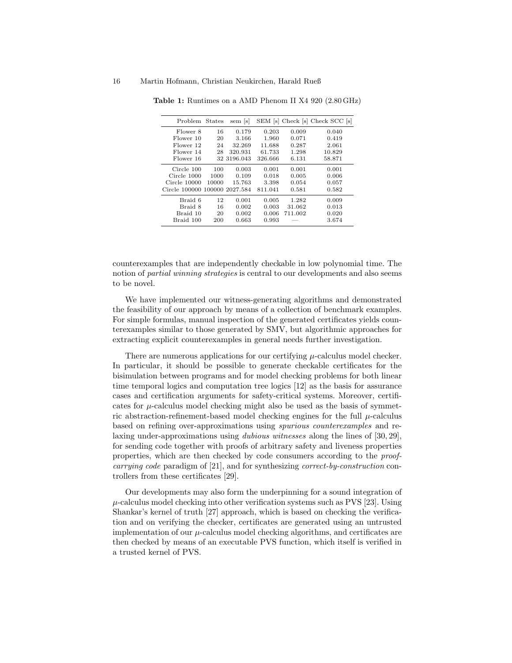|       | sem  s         |                                              |         |                                 |
|-------|----------------|----------------------------------------------|---------|---------------------------------|
| 16    | 0.179          | 0.203                                        | 0.009   | 0.040                           |
| 20    | 3.166          | 1.960                                        | 0.071   | 0.419                           |
| 24    | 32.269         | 11.688                                       | 0.287   | 2.061                           |
| 28    | 320.931        | 61.733                                       | 1.298   | 10.829                          |
|       |                | 326.666                                      | 6.131   | 58.871                          |
| 100   | 0.003          | 0.001                                        | 0.001   | 0.001                           |
| 1000  | 0.109          | 0.018                                        | 0.005   | 0.006                           |
| 10000 | 15.763         | 3.398                                        | 0.054   | 0.057                           |
|       |                | 811.041                                      | 0.581   | 0.582                           |
| 12    | 0.001          | 0.005                                        | 1.282   | 0.009                           |
| 16    | 0.002          | 0.003                                        | 31.062  | 0.013                           |
| 20    | 0.002          | 0.006                                        | 711.002 | 0.020                           |
| 200   | 0.663          | 0.993                                        |         | 3.674                           |
|       | Problem States | 32 3196.043<br>Circle 100000 100000 2027.584 |         | SEM [s] Check [s] Check SCC [s] |

Table 1: Runtimes on a AMD Phenom II X4 920 (2.80 GHz)

counterexamples that are independently checkable in low polynomial time. The notion of *partial winning strategies* is central to our developments and also seems to be novel.

We have implemented our witness-generating algorithms and demonstrated the feasibility of our approach by means of a collection of benchmark examples. For simple formulas, manual inspection of the generated certificates yields counterexamples similar to those generated by SMV, but algorithmic approaches for extracting explicit counterexamples in general needs further investigation.

There are numerous applications for our certifying  $\mu$ -calculus model checker. In particular, it should be possible to generate checkable certificates for the bisimulation between programs and for model checking problems for both linear time temporal logics and computation tree logics [12] as the basis for assurance cases and certification arguments for safety-critical systems. Moreover, certificates for  $\mu$ -calculus model checking might also be used as the basis of symmetric abstraction-refinement-based model checking engines for the full  $\mu$ -calculus based on refining over-approximations using spurious counterexamples and relaxing under-approximations using dubious witnesses along the lines of [30, 29], for sending code together with proofs of arbitrary safety and liveness properties properties, which are then checked by code consumers according to the proofcarrying code paradigm of [21], and for synthesizing correct-by-construction controllers from these certificates [29].

Our developments may also form the underpinning for a sound integration of  $\mu$ -calculus model checking into other verification systems such as PVS [23]. Using Shankar's kernel of truth [27] approach, which is based on checking the verification and on verifying the checker, certificates are generated using an untrusted implementation of our  $\mu$ -calculus model checking algorithms, and certificates are then checked by means of an executable PVS function, which itself is verified in a trusted kernel of PVS.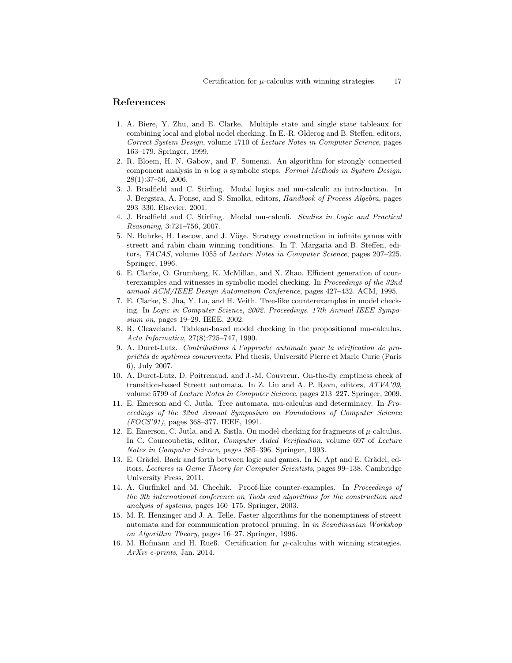# References

- 1. A. Biere, Y. Zhu, and E. Clarke. Multiple state and single state tableaux for combining local and global nodel checking. In E.-R. Olderog and B. Steffen, editors, Correct System Design, volume 1710 of Lecture Notes in Computer Science, pages 163–179. Springer, 1999.
- 2. R. Bloem, H. N. Gabow, and F. Somenzi. An algorithm for strongly connected component analysis in  $n \log n$  symbolic steps. Formal Methods in System Design, 28(1):37–56, 2006.
- 3. J. Bradfield and C. Stirling. Modal logics and mu-calculi: an introduction. In J. Bergstra, A. Ponse, and S. Smolka, editors, Handbook of Process Algebra, pages 293–330. Elsevier, 2001.
- 4. J. Bradfield and C. Stirling. Modal mu-calculi. Studies in Logic and Practical Reasoning, 3:721–756, 2007.
- 5. N. Buhrke, H. Lescow, and J. Vöge. Strategy construction in infinite games with streett and rabin chain winning conditions. In T. Margaria and B. Steffen, editors, TACAS, volume 1055 of Lecture Notes in Computer Science, pages 207–225. Springer, 1996.
- 6. E. Clarke, O. Grumberg, K. McMillan, and X. Zhao. Efficient generation of counterexamples and witnesses in symbolic model checking. In Proceedings of the 32nd annual ACM/IEEE Design Automation Conference, pages 427–432. ACM, 1995.
- 7. E. Clarke, S. Jha, Y. Lu, and H. Veith. Tree-like counterexamples in model checking. In Logic in Computer Science, 2002. Proceedings. 17th Annual IEEE Symposium on, pages 19–29. IEEE, 2002.
- 8. R. Cleaveland. Tableau-based model checking in the propositional mu-calculus. Acta Informatica, 27(8):725–747, 1990.
- 9. A. Duret-Lutz. Contributions à l'approche automate pour la vérification de propriétés de systèmes concurrents. Phd thesis, Université Pierre et Marie Curie (Paris 6), July 2007.
- 10. A. Duret-Lutz, D. Poitrenaud, and J.-M. Couvreur. On-the-fly emptiness check of transition-based Streett automata. In Z. Liu and A. P. Ravn, editors, ATVA'09, volume 5799 of Lecture Notes in Computer Science, pages 213–227. Springer, 2009.
- 11. E. Emerson and C. Jutla. Tree automata, mu-calculus and determinacy. In Proceedings of the 32nd Annual Symposium on Foundations of Computer Science (FOCS'91), pages 368–377. IEEE, 1991.
- 12. E. Emerson, C. Jutla, and A. Sistla. On model-checking for fragments of  $\mu$ -calculus. In C. Courcoubetis, editor, Computer Aided Verification, volume 697 of Lecture Notes in Computer Science, pages 385–396. Springer, 1993.
- 13. E. Grädel. Back and forth between logic and games. In K. Apt and E. Grädel, editors, Lectures in Game Theory for Computer Scientists, pages 99–138. Cambridge University Press, 2011.
- 14. A. Gurfinkel and M. Chechik. Proof-like counter-examples. In Proceedings of the 9th international conference on Tools and algorithms for the construction and analysis of systems, pages 160–175. Springer, 2003.
- 15. M. R. Henzinger and J. A. Telle. Faster algorithms for the nonemptiness of streett automata and for communication protocol pruning. In in Scandinavian Workshop on Algorithm Theory, pages 16–27. Springer, 1996.
- 16. M. Hofmann and H. Rueß. Certification for  $\mu$ -calculus with winning strategies. ArXiv e-prints, Jan. 2014.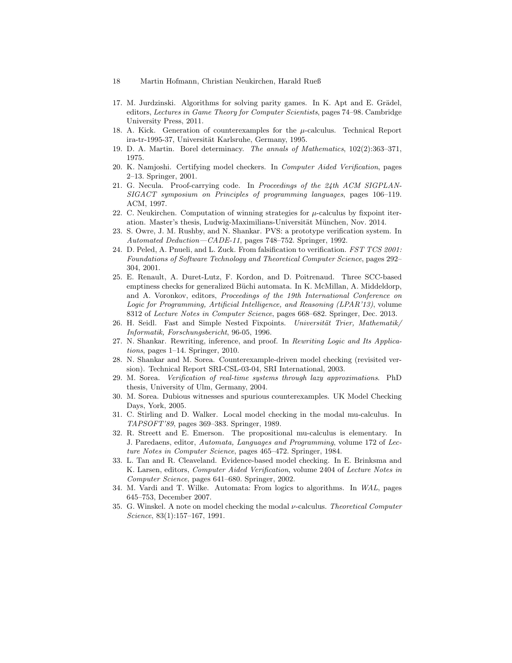- 18 Martin Hofmann, Christian Neukirchen, Harald Rueß
- 17. M. Jurdzinski. Algorithms for solving parity games. In K. Apt and E. Grädel, editors, Lectures in Game Theory for Computer Scientists, pages 74–98. Cambridge University Press, 2011.
- 18. A. Kick. Generation of counterexamples for the  $\mu$ -calculus. Technical Report ira-tr-1995-37, Universität Karlsruhe, Germany, 1995.
- 19. D. A. Martin. Borel determinacy. The annals of Mathematics, 102(2):363–371, 1975.
- 20. K. Namjoshi. Certifying model checkers. In Computer Aided Verification, pages 2–13. Springer, 2001.
- 21. G. Necula. Proof-carrying code. In Proceedings of the 24th ACM SIGPLAN-SIGACT symposium on Principles of programming languages, pages 106–119. ACM, 1997.
- 22. C. Neukirchen. Computation of winning strategies for  $\mu$ -calculus by fixpoint iteration. Master's thesis, Ludwig-Maximilians-Universität München, Nov. 2014.
- 23. S. Owre, J. M. Rushby, and N. Shankar. PVS: a prototype verification system. In Automated Deduction—CADE-11, pages 748–752. Springer, 1992.
- 24. D. Peled, A. Pnueli, and L. Zuck. From falsification to verification. FST TCS 2001: Foundations of Software Technology and Theoretical Computer Science, pages 292– 304, 2001.
- 25. E. Renault, A. Duret-Lutz, F. Kordon, and D. Poitrenaud. Three SCC-based emptiness checks for generalized Büchi automata. In K. McMillan, A. Middeldorp, and A. Voronkov, editors, Proceedings of the 19th International Conference on Logic for Programming, Artificial Intelligence, and Reasoning (LPAR'13), volume 8312 of Lecture Notes in Computer Science, pages 668–682. Springer, Dec. 2013.
- 26. H. Seidl. Fast and Simple Nested Fixpoints. Universität Trier, Mathematik/ Informatik, Forschungsbericht, 96-05, 1996.
- 27. N. Shankar. Rewriting, inference, and proof. In Rewriting Logic and Its Applications, pages 1–14. Springer, 2010.
- 28. N. Shankar and M. Sorea. Counterexample-driven model checking (revisited version). Technical Report SRI-CSL-03-04, SRI International, 2003.
- 29. M. Sorea. Verification of real-time systems through lazy approximations. PhD thesis, University of Ulm, Germany, 2004.
- 30. M. Sorea. Dubious witnesses and spurious counterexamples. UK Model Checking Days, York, 2005.
- 31. C. Stirling and D. Walker. Local model checking in the modal mu-calculus. In TAPSOFT'89, pages 369–383. Springer, 1989.
- 32. R. Streett and E. Emerson. The propositional mu-calculus is elementary. In J. Paredaens, editor, Automata, Languages and Programming, volume 172 of Lecture Notes in Computer Science, pages 465–472. Springer, 1984.
- 33. L. Tan and R. Cleaveland. Evidence-based model checking. In E. Brinksma and K. Larsen, editors, Computer Aided Verification, volume 2404 of Lecture Notes in Computer Science, pages 641–680. Springer, 2002.
- 34. M. Vardi and T. Wilke. Automata: From logics to algorithms. In WAL, pages 645–753, December 2007.
- 35. G. Winskel. A note on model checking the modal  $\nu$ -calculus. Theoretical Computer Science, 83(1):157–167, 1991.